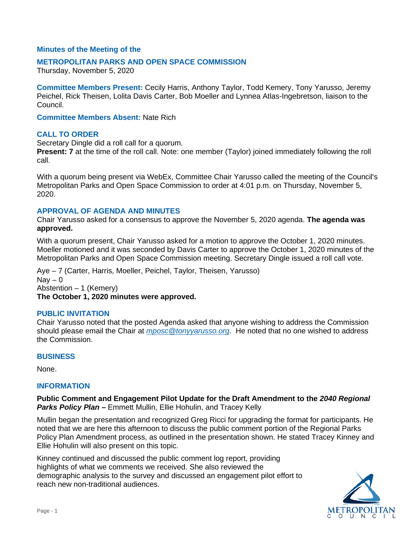## **Minutes of the Meeting of the**

## **METROPOLITAN PARKS AND OPEN SPACE COMMISSION**

Thursday, November 5, 2020

**Committee Members Present:** Cecily Harris, Anthony Taylor, Todd Kemery, Tony Yarusso, Jeremy Peichel, Rick Theisen, Lolita Davis Carter, Bob Moeller and Lynnea Atlas-Ingebretson, liaison to the Council.

**Committee Members Absent:** Nate Rich

## **CALL TO ORDER**

Secretary Dingle did a roll call for a quorum.

**Present: 7** at the time of the roll call. Note: one member (Taylor) joined immediately following the roll call.

With a quorum being present via WebEx, Committee Chair Yarusso called the meeting of the Council's Metropolitan Parks and Open Space Commission to order at 4:01 p.m. on Thursday, November 5, 2020.

## **APPROVAL OF AGENDA AND MINUTES**

Chair Yarusso asked for a consensus to approve the November 5, 2020 agenda. **The agenda was approved.**

With a quorum present, Chair Yarusso asked for a motion to approve the October 1, 2020 minutes. Moeller motioned and it was seconded by Davis Carter to approve the October 1, 2020 minutes of the Metropolitan Parks and Open Space Commission meeting. Secretary Dingle issued a roll call vote.

Aye – 7 (Carter, Harris, Moeller, Peichel, Taylor, Theisen, Yarusso)  $\text{Nav} - 0$ Abstention – 1 (Kemery) **The October 1, 2020 minutes were approved.**

## **PUBLIC INVITATION**

Chair Yarusso noted that the posted Agenda asked that anyone wishing to address the Commission should please email the Chair at *[mposc@tonyyarusso.org](mailto:mposc@tonyyarusso.org)*. He noted that no one wished to address the Commission.

## **BUSINESS**

None.

## **INFORMATION**

**Public Comment and Engagement Pilot Update for the Draft Amendment to the** *2040 Regional Parks Policy Plan* **–** Emmett Mullin, Ellie Hohulin, and Tracey Kelly

Mullin began the presentation and recognized Greg Ricci for upgrading the format for participants. He noted that we are here this afternoon to discuss the public comment portion of the Regional Parks Policy Plan Amendment process, as outlined in the presentation shown. He stated Tracey Kinney and Ellie Hohulin will also present on this topic.

Kinney continued and discussed the public comment log report, providing highlights of what we comments we received. She also reviewed the demographic analysis to the survey and discussed an engagement pilot effort to reach new non-traditional audiences.

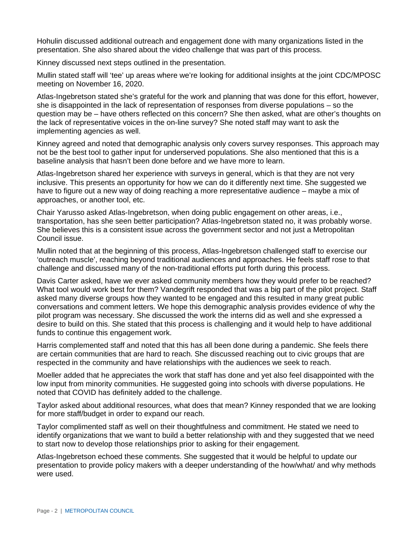Hohulin discussed additional outreach and engagement done with many organizations listed in the presentation. She also shared about the video challenge that was part of this process.

Kinney discussed next steps outlined in the presentation.

Mullin stated staff will 'tee' up areas where we're looking for additional insights at the joint CDC/MPOSC meeting on November 16, 2020.

Atlas-Ingebretson stated she's grateful for the work and planning that was done for this effort, however, she is disappointed in the lack of representation of responses from diverse populations – so the question may be – have others reflected on this concern? She then asked, what are other's thoughts on the lack of representative voices in the on-line survey? She noted staff may want to ask the implementing agencies as well.

Kinney agreed and noted that demographic analysis only covers survey responses. This approach may not be the best tool to gather input for underserved populations. She also mentioned that this is a baseline analysis that hasn't been done before and we have more to learn.

Atlas-Ingebretson shared her experience with surveys in general, which is that they are not very inclusive. This presents an opportunity for how we can do it differently next time. She suggested we have to figure out a new way of doing reaching a more representative audience – maybe a mix of approaches, or another tool, etc.

Chair Yarusso asked Atlas-Ingebretson, when doing public engagement on other areas, i.e., transportation, has she seen better participation? Atlas-Ingebretson stated no, it was probably worse. She believes this is a consistent issue across the government sector and not just a Metropolitan Council issue.

Mullin noted that at the beginning of this process, Atlas-Ingebretson challenged staff to exercise our 'outreach muscle', reaching beyond traditional audiences and approaches. He feels staff rose to that challenge and discussed many of the non-traditional efforts put forth during this process.

Davis Carter asked, have we ever asked community members how they would prefer to be reached? What tool would work best for them? Vandegrift responded that was a big part of the pilot project. Staff asked many diverse groups how they wanted to be engaged and this resulted in many great public conversations and comment letters. We hope this demographic analysis provides evidence of why the pilot program was necessary. She discussed the work the interns did as well and she expressed a desire to build on this. She stated that this process is challenging and it would help to have additional funds to continue this engagement work.

Harris complemented staff and noted that this has all been done during a pandemic. She feels there are certain communities that are hard to reach. She discussed reaching out to civic groups that are respected in the community and have relationships with the audiences we seek to reach.

Moeller added that he appreciates the work that staff has done and yet also feel disappointed with the low input from minority communities. He suggested going into schools with diverse populations. He noted that COVID has definitely added to the challenge.

Taylor asked about additional resources, what does that mean? Kinney responded that we are looking for more staff/budget in order to expand our reach.

Taylor complimented staff as well on their thoughtfulness and commitment. He stated we need to identify organizations that we want to build a better relationship with and they suggested that we need to start now to develop those relationships prior to asking for their engagement.

Atlas-Ingebretson echoed these comments. She suggested that it would be helpful to update our presentation to provide policy makers with a deeper understanding of the how/what/ and why methods were used.